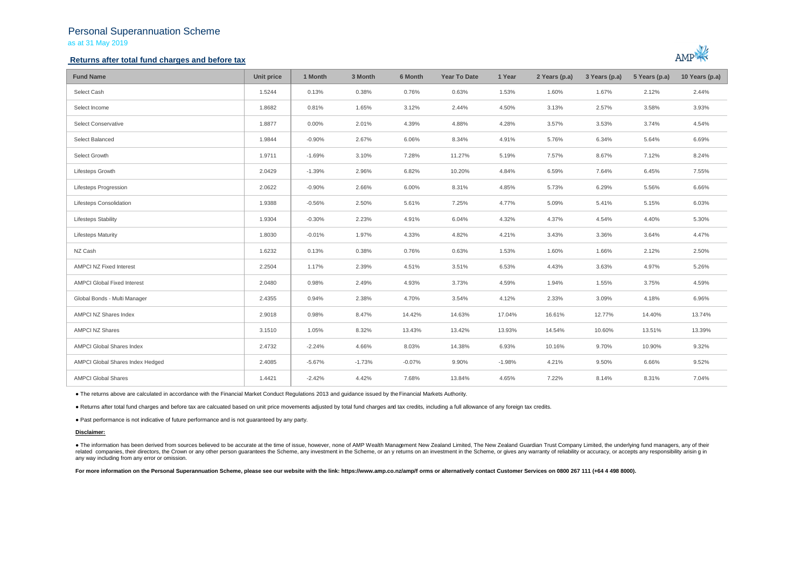## Personal Superannuation Scheme as at 31 May 2019

## **Returns after total fund charges and before tax**



| <b>Fund Name</b>                   | Unit price | 1 Month  | 3 Month  | 6 Month  | <b>Year To Date</b> | 1 Year   | 2 Years (p.a) | 3 Years (p.a) | 5 Years (p.a) | 10 Years (p.a) |
|------------------------------------|------------|----------|----------|----------|---------------------|----------|---------------|---------------|---------------|----------------|
| Select Cash                        | 1.5244     | 0.13%    | 0.38%    | 0.76%    | 0.63%               | 1.53%    | 1.60%         | 1.67%         | 2.12%         | 2.44%          |
| Select Income                      | 1.8682     | 0.81%    | 1.65%    | 3.12%    | 2.44%               | 4.50%    | 3.13%         | 2.57%         | 3.58%         | 3.93%          |
| Select Conservative                | 1.8877     | 0.00%    | 2.01%    | 4.39%    | 4.88%               | 4.28%    | 3.57%         | 3.53%         | 3.74%         | 4.54%          |
| Select Balanced                    | 1.9844     | $-0.90%$ | 2.67%    | 6.06%    | 8.34%               | 4.91%    | 5.76%         | 6.34%         | 5.64%         | 6.69%          |
| Select Growth                      | 1.9711     | $-1.69%$ | 3.10%    | 7.28%    | 11.27%              | 5.19%    | 7.57%         | 8.67%         | 7.12%         | 8.24%          |
| Lifesteps Growth                   | 2.0429     | $-1.39%$ | 2.96%    | 6.82%    | 10.20%              | 4.84%    | 6.59%         | 7.64%         | 6.45%         | 7.55%          |
| <b>Lifesteps Progression</b>       | 2.0622     | $-0.90%$ | 2.66%    | 6.00%    | 8.31%               | 4.85%    | 5.73%         | 6.29%         | 5.56%         | 6.66%          |
| <b>Lifesteps Consolidation</b>     | 1.9388     | $-0.56%$ | 2.50%    | 5.61%    | 7.25%               | 4.77%    | 5.09%         | 5.41%         | 5.15%         | 6.03%          |
| <b>Lifesteps Stability</b>         | 1.9304     | $-0.30%$ | 2.23%    | 4.91%    | 6.04%               | 4.32%    | 4.37%         | 4.54%         | 4.40%         | 5.30%          |
| <b>Lifesteps Maturity</b>          | 1.8030     | $-0.01%$ | 1.97%    | 4.33%    | 4.82%               | 4.21%    | 3.43%         | 3.36%         | 3.64%         | 4.47%          |
| NZ Cash                            | 1.6232     | 0.13%    | 0.38%    | 0.76%    | 0.63%               | 1.53%    | 1.60%         | 1.66%         | 2.12%         | 2.50%          |
| AMPCI NZ Fixed Interest            | 2.2504     | 1.17%    | 2.39%    | 4.51%    | 3.51%               | 6.53%    | 4.43%         | 3.63%         | 4.97%         | 5.26%          |
| <b>AMPCI Global Fixed Interest</b> | 2.0480     | 0.98%    | 2.49%    | 4.93%    | 3.73%               | 4.59%    | 1.94%         | 1.55%         | 3.75%         | 4.59%          |
| Global Bonds - Multi Manager       | 2.4355     | 0.94%    | 2.38%    | 4.70%    | 3.54%               | 4.12%    | 2.33%         | 3.09%         | 4.18%         | 6.96%          |
| AMPCI NZ Shares Index              | 2.9018     | 0.98%    | 8.47%    | 14.42%   | 14.63%              | 17.04%   | 16.61%        | 12.77%        | 14.40%        | 13.74%         |
| <b>AMPCI NZ Shares</b>             | 3.1510     | 1.05%    | 8.32%    | 13.43%   | 13.42%              | 13.93%   | 14.54%        | 10.60%        | 13.51%        | 13.39%         |
| AMPCI Global Shares Index          | 2.4732     | $-2.24%$ | 4.66%    | 8.03%    | 14.38%              | 6.93%    | 10.16%        | 9.70%         | 10.90%        | 9.32%          |
| AMPCI Global Shares Index Hedged   | 2.4085     | $-5.67%$ | $-1.73%$ | $-0.07%$ | 9.90%               | $-1.98%$ | 4.21%         | 9.50%         | 6.66%         | 9.52%          |
| <b>AMPCI Global Shares</b>         | 1.4421     | $-2.42%$ | 4.42%    | 7.68%    | 13.84%              | 4.65%    | 7.22%         | 8.14%         | 8.31%         | 7.04%          |

● The returns above are calculated in accordance with the Financial Market Conduct Regulations 2013 and guidance issued by the Financial Markets Authority.

● Returns after total fund charges and before tax are calcuated based on unit price movements adjusted by total fund charges and tax credits, including a full allowance of any foreign tax credits.

● Past performance is not indicative of future performance and is not guaranteed by any party.

### **Disclaimer:**

. The information has been derived from sources believed to be accurate at the time of issue, however, none of AMP Wealth Management New Zealand Limited, The New Zealand Guardian Trust Company Limited, the underlying fund related companies, their directors, the Crown or any other person quarantees the Scheme, any investment in the Scheme, or any returns on an investment in the Scheme, or qives any warranty of reliability or accuracy, or acc any way including from any error or omission.

For more information on the Personal Superannuation Scheme, please see our website with the link: https://www.amp.co.nz/amp/f orms or alternatively contact Customer Services on 0800 267 111 (+64 4 498 8000).